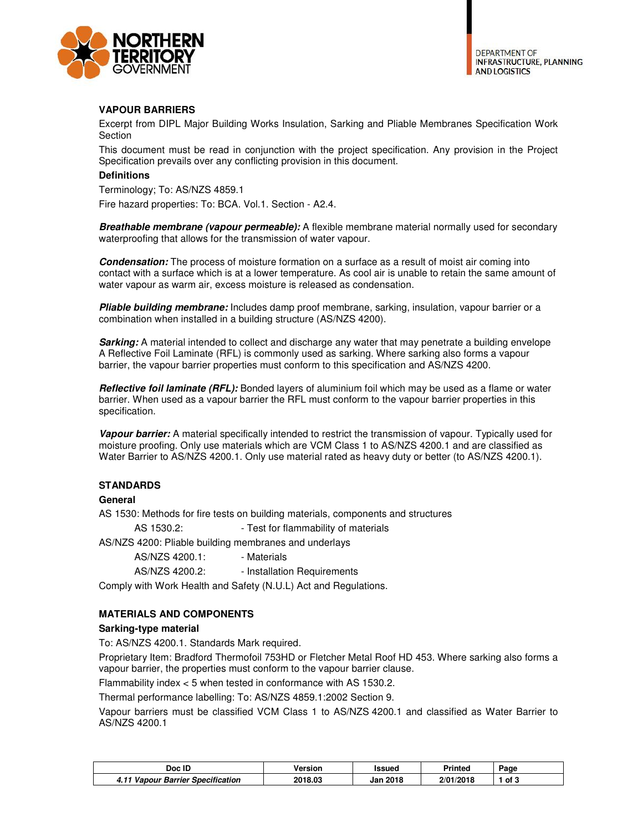

**DEPARTMENT OF INFRASTRUCTURE, PLANNING AND LOGISTICS** 

# **VAPOUR BARRIERS**

Excerpt from DIPL Major Building Works Insulation, Sarking and Pliable Membranes Specification Work Section

This document must be read in conjunction with the project specification. Any provision in the Project Specification prevails over any conflicting provision in this document.

### **Definitions**

Terminology; To: AS/NZS 4859.1

Fire hazard properties: To: BCA. Vol.1. Section - A2.4.

*Breathable membrane (vapour permeable):* A flexible membrane material normally used for secondary waterproofing that allows for the transmission of water vapour.

**Condensation:** The process of moisture formation on a surface as a result of moist air coming into contact with a surface which is at a lower temperature. As cool air is unable to retain the same amount of water vapour as warm air, excess moisture is released as condensation.

*Pliable building membrane:* Includes damp proof membrane, sarking, insulation, vapour barrier or a combination when installed in a building structure (AS/NZS 4200).

**Sarking:** A material intended to collect and discharge any water that may penetrate a building envelope A Reflective Foil Laminate (RFL) is commonly used as sarking. Where sarking also forms a vapour barrier, the vapour barrier properties must conform to this specification and AS/NZS 4200.

*Reflective foil laminate (RFL):* Bonded layers of aluminium foil which may be used as a flame or water barrier. When used as a vapour barrier the RFL must conform to the vapour barrier properties in this specification.

*Vapour barrier:* A material specifically intended to restrict the transmission of vapour. Typically used for moisture proofing. Only use materials which are VCM Class 1 to AS/NZS 4200.1 and are classified as Water Barrier to AS/NZS 4200.1. Only use material rated as heavy duty or better (to AS/NZS 4200.1).

## **STANDARDS**

## **General**

AS 1530: Methods for fire tests on building materials, components and structures

AS 1530.2: Fig. 7est for flammability of materials

AS/NZS 4200: Pliable building membranes and underlays

AS/NZS 4200.1: - Materials

AS/NZS 4200.2: - Installation Requirements

Comply with Work Health and Safety (N.U.L) Act and Regulations.

## **MATERIALS AND COMPONENTS**

#### **Sarking-type material**

To: AS/NZS 4200.1. Standards Mark required.

Proprietary Item: Bradford Thermofoil 753HD or Fletcher Metal Roof HD 453. Where sarking also forms a vapour barrier, the properties must conform to the vapour barrier clause.

Flammability index < 5 when tested in conformance with AS 1530.2.

Thermal performance labelling: To: AS/NZS 4859.1:2002 Section 9.

Vapour barriers must be classified VCM Class 1 to AS/NZS 4200.1 and classified as Water Barrier to AS/NZS 4200.1

| Doc ID                                                   | Version | Issued          | <b>Printed</b> | Page   |
|----------------------------------------------------------|---------|-----------------|----------------|--------|
| <b>Vapour Barrier Specification</b><br>4.11 <sup>1</sup> | 2018.03 | <b>Jan 2018</b> | 2/01/2018      | . of ″ |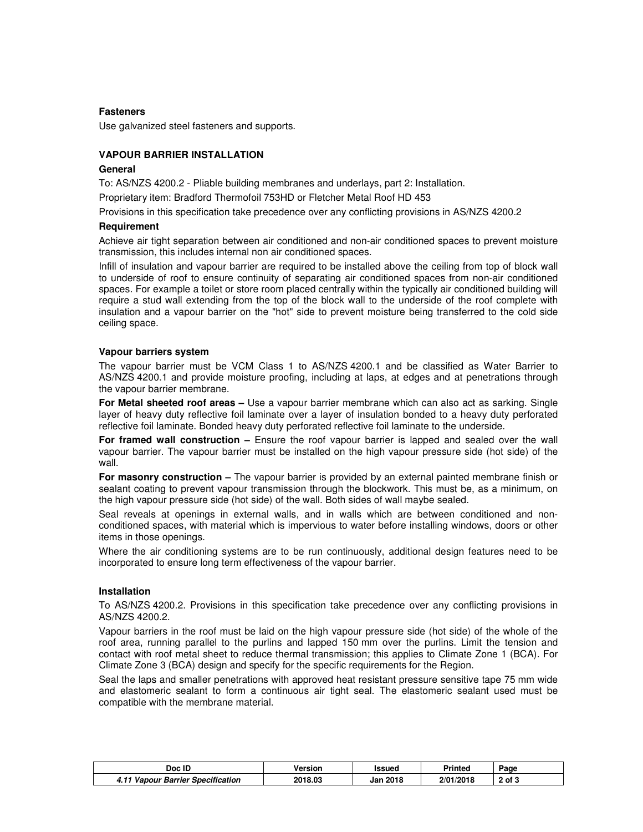## **Fasteners**

Use galvanized steel fasteners and supports.

### **VAPOUR BARRIER INSTALLATION**

#### **General**

To: AS/NZS 4200.2 - Pliable building membranes and underlays, part 2: Installation.

Proprietary item: Bradford Thermofoil 753HD or Fletcher Metal Roof HD 453

Provisions in this specification take precedence over any conflicting provisions in AS/NZS 4200.2

#### **Requirement**

Achieve air tight separation between air conditioned and non-air conditioned spaces to prevent moisture transmission, this includes internal non air conditioned spaces.

Infill of insulation and vapour barrier are required to be installed above the ceiling from top of block wall to underside of roof to ensure continuity of separating air conditioned spaces from non-air conditioned spaces. For example a toilet or store room placed centrally within the typically air conditioned building will require a stud wall extending from the top of the block wall to the underside of the roof complete with insulation and a vapour barrier on the "hot" side to prevent moisture being transferred to the cold side ceiling space.

#### **Vapour barriers system**

The vapour barrier must be VCM Class 1 to AS/NZS 4200.1 and be classified as Water Barrier to AS/NZS 4200.1 and provide moisture proofing, including at laps, at edges and at penetrations through the vapour barrier membrane.

**For Metal sheeted roof areas –** Use a vapour barrier membrane which can also act as sarking. Single layer of heavy duty reflective foil laminate over a layer of insulation bonded to a heavy duty perforated reflective foil laminate. Bonded heavy duty perforated reflective foil laminate to the underside.

**For framed wall construction –** Ensure the roof vapour barrier is lapped and sealed over the wall vapour barrier. The vapour barrier must be installed on the high vapour pressure side (hot side) of the wall.

**For masonry construction –** The vapour barrier is provided by an external painted membrane finish or sealant coating to prevent vapour transmission through the blockwork. This must be, as a minimum, on the high vapour pressure side (hot side) of the wall. Both sides of wall maybe sealed.

Seal reveals at openings in external walls, and in walls which are between conditioned and nonconditioned spaces, with material which is impervious to water before installing windows, doors or other items in those openings.

Where the air conditioning systems are to be run continuously, additional design features need to be incorporated to ensure long term effectiveness of the vapour barrier.

#### **Installation**

To AS/NZS 4200.2. Provisions in this specification take precedence over any conflicting provisions in AS/NZS 4200.2.

Vapour barriers in the roof must be laid on the high vapour pressure side (hot side) of the whole of the roof area, running parallel to the purlins and lapped 150 mm over the purlins. Limit the tension and contact with roof metal sheet to reduce thermal transmission; this applies to Climate Zone 1 (BCA). For Climate Zone 3 (BCA) design and specify for the specific requirements for the Region.

Seal the laps and smaller penetrations with approved heat resistant pressure sensitive tape 75 mm wide and elastomeric sealant to form a continuous air tight seal. The elastomeric sealant used must be compatible with the membrane material.

| Doc ID                            | Version | <b>Issued</b>   | Printed   | Page   |
|-----------------------------------|---------|-----------------|-----------|--------|
| 4.11 Vapour Barrier Specification | 2018.03 | <b>Jan 2018</b> | 2/01/2018 | 2 of 3 |